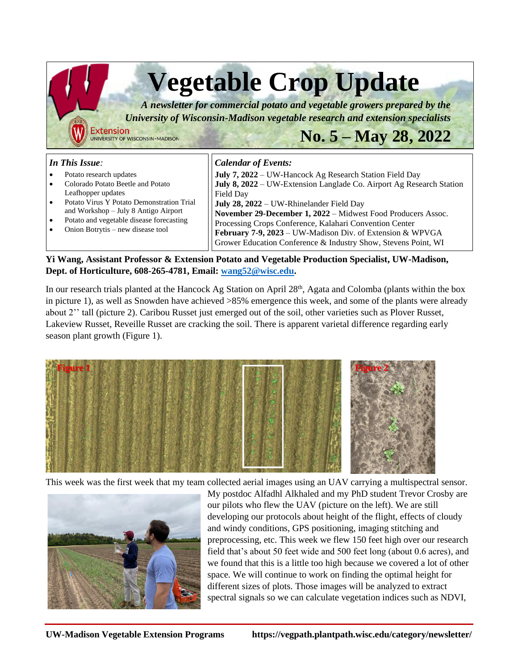

## **Yi Wang, Assistant Professor & Extension Potato and Vegetable Production Specialist, UW-Madison, Dept. of Horticulture, 608-265-4781, Email: [wang52@wisc.edu.](mailto:wang52@wisc.edu)**

In our research trials planted at the Hancock Ag Station on April 28<sup>th</sup>, Agata and Colomba (plants within the box in picture 1), as well as Snowden have achieved >85% emergence this week, and some of the plants were already about 2'' tall (picture 2). Caribou Russet just emerged out of the soil, other varieties such as Plover Russet, Lakeview Russet, Reveille Russet are cracking the soil. There is apparent varietal difference regarding early season plant growth (Figure 1).



This week was the first week that my team collected aerial images using an UAV carrying a multispectral sensor.



My postdoc Alfadhl Alkhaled and my PhD student Trevor Crosby are our pilots who flew the UAV (picture on the left). We are still developing our protocols about height of the flight, effects of cloudy and windy conditions, GPS positioning, imaging stitching and preprocessing, etc. This week we flew 150 feet high over our research field that's about 50 feet wide and 500 feet long (about 0.6 acres), and we found that this is a little too high because we covered a lot of other space. We will continue to work on finding the optimal height for different sizes of plots. Those images will be analyzed to extract spectral signals so we can calculate vegetation indices such as NDVI,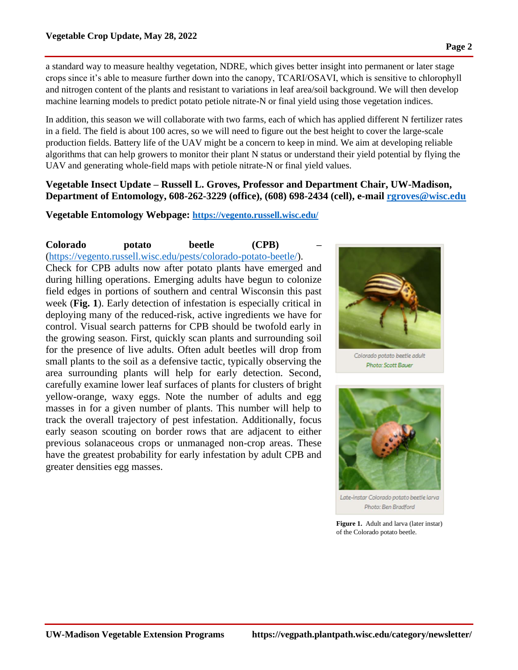a standard way to measure healthy vegetation, NDRE, which gives better insight into permanent or later stage crops since it's able to measure further down into the canopy, TCARI/OSAVI, which is sensitive to chlorophyll and nitrogen content of the plants and resistant to variations in leaf area/soil background. We will then develop machine learning models to predict potato petiole nitrate-N or final yield using those vegetation indices.

In addition, this season we will collaborate with two farms, each of which has applied different N fertilizer rates in a field. The field is about 100 acres, so we will need to figure out the best height to cover the large-scale production fields. Battery life of the UAV might be a concern to keep in mind. We aim at developing reliable algorithms that can help growers to monitor their plant N status or understand their yield potential by flying the UAV and generating whole-field maps with petiole nitrate-N or final yield values.

## **Vegetable Insect Update – Russell L. Groves, Professor and Department Chair, UW-Madison, Department of Entomology, 608-262-3229 (office), (608) 698-2434 (cell), e-mail [rgroves@wisc.edu](mailto:rgroves@wisc.edu)**

**Vegetable Entomology Webpage: <https://vegento.russell.wisc.edu/>**

## **Colorado potato beetle (CPB) –** [\(https://vegento.russell.wisc.edu/pests/colorado-potato-beetle/\)](https://vegento.russell.wisc.edu/pests/colorado-potato-beetle/). Check for CPB adults now after potato plants have emerged and during hilling operations. Emerging adults have begun to colonize field edges in portions of southern and central Wisconsin this past week (**Fig. 1**). Early detection of infestation is especially critical in deploying many of the reduced-risk, active ingredients we have for control. Visual search patterns for CPB should be twofold early in the growing season. First, quickly scan plants and surrounding soil for the presence of live adults. Often adult beetles will drop from small plants to the soil as a defensive tactic, typically observing the area surrounding plants will help for early detection. Second, carefully examine lower leaf surfaces of plants for clusters of bright yellow-orange, waxy eggs. Note the number of adults and egg masses in for a given number of plants. This number will help to track the overall trajectory of pest infestation. Additionally, focus early season scouting on border rows that are adjacent to either previous solanaceous crops or unmanaged non-crop areas. These have the greatest probability for early infestation by adult CPB and greater densities egg masses.



Colorado potato beetle adult Photo: Scott Bauer



Late-instar Colorado potato beetle larva Photo: Ben Bradford

Figure 1. Adult and larva (later instar) of the Colorado potato beetle.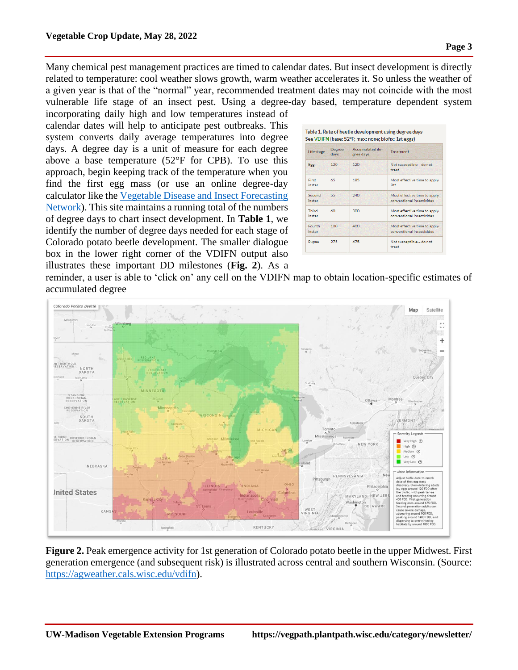Many chemical pest management practices are timed to calendar dates. But insect development is directly related to temperature: cool weather slows growth, warm weather accelerates it. So unless the weather of a given year is that of the "normal" year, recommended treatment dates may not coincide with the most vulnerable life stage of an insect pest. Using a degree-day based, temperature dependent system

incorporating daily high and low temperatures instead of calendar dates will help to anticipate pest outbreaks. This system converts daily average temperatures into degree days. A degree day is a unit of measure for each degree above a base temperature (52°F for CPB). To use this approach, begin keeping track of the temperature when you find the first egg mass (or use an online degree-day calculator like the [Vegetable Disease and Insect Forecasting](https://agweather.cals.wisc.edu/vdifn?panel=insect&model=cpb)  [Network\)](https://agweather.cals.wisc.edu/vdifn?panel=insect&model=cpb). This site maintains a running total of the numbers of degree days to chart insect development. In **Table 1**, we identify the number of degree days needed for each stage of Colorado potato beetle development. The smaller dialogue box in the lower right corner of the VDIFN output also illustrates these important DD milestones (**Fig. 2**). As a

| Life stage       | <b>Degree</b><br>days | Accumulated de-<br>gree days | <b>Treatment</b>                                          |  |  |  |  |
|------------------|-----------------------|------------------------------|-----------------------------------------------------------|--|--|--|--|
| Egg              | 120                   | 120                          | Not susceptible - do not<br>treat                         |  |  |  |  |
| First<br>instar  | 65                    | 185                          | Most effective time to apply<br><b>Btt</b>                |  |  |  |  |
| Second<br>instar | 55                    | 240                          | Most effective time to apply<br>conventional insecticides |  |  |  |  |
| Third<br>instar  | 60                    | 300                          | Most effective time to apply<br>conventional insecticides |  |  |  |  |
| Fourth<br>instar | 100                   | 400                          | Most effective time to apply<br>conventional insecticides |  |  |  |  |
| 275<br>Pupae     |                       | 675                          | Not susceptible - do not<br>treat                         |  |  |  |  |

reminder, a user is able to 'click on' any cell on the VDIFN map to obtain location-specific estimates of accumulated degree



**Figure 2.** Peak emergence activity for 1st generation of Colorado potato beetle in the upper Midwest. First generation emergence (and subsequent risk) is illustrated across central and southern Wisconsin. (Source: [https://agweather.cals.wisc.edu/vdifn\)](https://agweather.cals.wisc.edu/vdifn).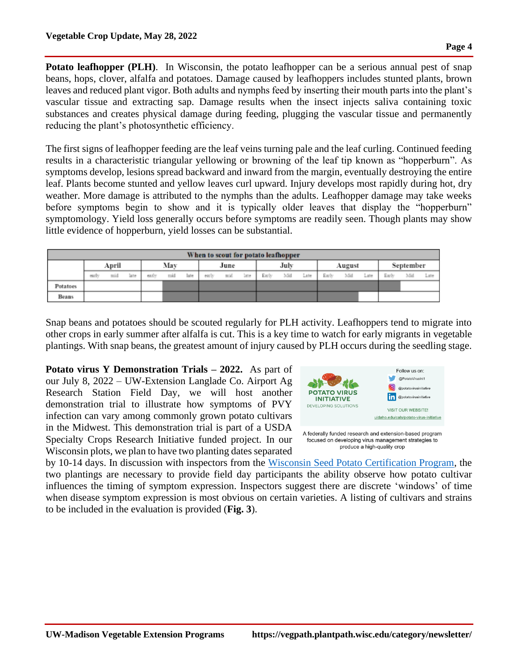**Potato leafhopper (PLH).** In Wisconsin, the potato leafhopper can be a serious annual pest of snap beans, hops, clover, alfalfa and potatoes. Damage caused by leafhoppers includes stunted plants, brown leaves and reduced plant vigor. Both adults and nymphs feed by inserting their mouth parts into the plant's vascular tissue and extracting sap. Damage results when the insect injects saliva containing toxic substances and creates physical damage during feeding, plugging the vascular tissue and permanently reducing the plant's photosynthetic efficiency.

The first signs of leafhopper feeding are the leaf veins turning pale and the leaf curling. Continued feeding results in a characteristic triangular yellowing or browning of the leaf tip known as "hopperburn". As symptoms develop, lesions spread backward and inward from the margin, eventually destroying the entire leaf. Plants become stunted and yellow leaves curl upward. Injury develops most rapidly during hot, dry weather. More damage is attributed to the nymphs than the adults. Leafhopper damage may take weeks before symptoms begin to show and it is typically older leaves that display the "hopperburn" symptomology. Yield loss generally occurs before symptoms are readily seen. Though plants may show little evidence of hopperburn, yield losses can be substantial.

| When to scout for potato leafhopper |       |       |      |       |     |      |       |      |      |       |      |      |       |        |      |       |           |      |
|-------------------------------------|-------|-------|------|-------|-----|------|-------|------|------|-------|------|------|-------|--------|------|-------|-----------|------|
|                                     |       | April |      |       | Mav |      |       | June |      |       | July |      |       | August |      |       | September |      |
|                                     | early | mid   | late | early | mid | late | early | mid  | late | Early | MH   | Late | Early | 3/3d   | Late | Early | Mid       | Late |
| Potatoes                            |       |       |      |       |     |      |       |      |      |       |      |      |       |        |      |       |           |      |
| Beans                               |       |       |      |       |     |      |       |      |      |       |      |      |       |        |      |       |           |      |

Snap beans and potatoes should be scouted regularly for PLH activity. Leafhoppers tend to migrate into other crops in early summer after alfalfa is cut. This is a key time to watch for early migrants in vegetable plantings. With snap beans, the greatest amount of injury caused by PLH occurs during the seedling stage.

**Potato virus Y Demonstration Trials – 2022.** As part of our July 8, 2022 – UW-Extension Langlade Co. Airport Ag Research Station Field Day, we will host another demonstration trial to illustrate how symptoms of PVY infection can vary among commonly grown potato cultivars in the Midwest. This demonstration trial is part of a USDA Specialty Crops Research Initiative funded project. In our Wisconsin plots, we plan to have two planting dates separated



by 10-14 days. In discussion with inspectors from the [Wisconsin Seed Potato Certification Program,](https://seedpotato.russell.wisc.edu/) the two plantings are necessary to provide field day participants the ability observe how potato cultivar influences the timing of symptom expression. Inspectors suggest there are discrete 'windows' of time when disease symptom expression is most obvious on certain varieties. A listing of cultivars and strains to be included in the evaluation is provided (**Fig. 3**).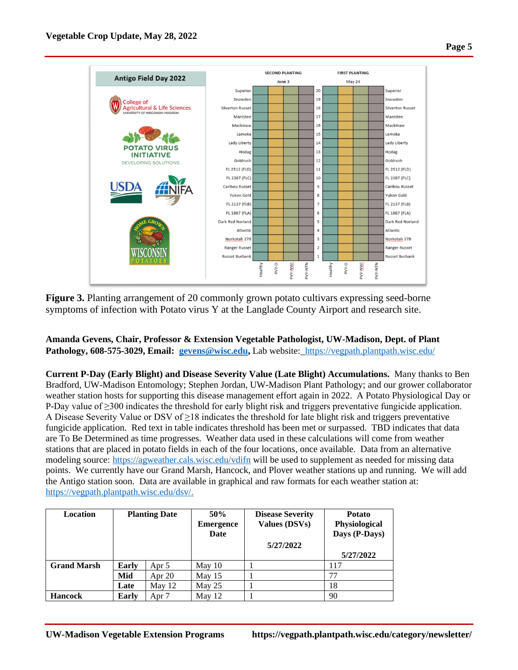

**Figure 3.** Planting arrangement of 20 commonly grown potato cultivars expressing seed-borne symptoms of infection with Potato virus Y at the Langlade County Airport and research site.

**Amanda Gevens, Chair, Professor & Extension Vegetable Pathologist, UW-Madison, Dept. of Plant Pathology, 608-575-3029, Email: [gevens@wisc.edu,](mailto:gevens@wisc.edu)** Lab website:<https://vegpath.plantpath.wisc.edu/>

**Current P-Day (Early Blight) and Disease Severity Value (Late Blight) Accumulations.** Many thanks to Ben Bradford, UW-Madison Entomology; Stephen Jordan, UW-Madison Plant Pathology; and our grower collaborator weather station hosts for supporting this disease management effort again in 2022. A Potato Physiological Day or P-Day value of ≥300 indicates the threshold for early blight risk and triggers preventative fungicide application. A Disease Severity Value or DSV of  $\geq$ 18 indicates the threshold for late blight risk and triggers preventative fungicide application. Red text in table indicates threshold has been met or surpassed. TBD indicates that data are To Be Determined as time progresses. Weather data used in these calculations will come from weather stations that are placed in potato fields in each of the four locations, once available. Data from an alternative modeling source: <https://agweather.cals.wisc.edu/vdifn> will be used to supplement as needed for missing data points. We currently have our Grand Marsh, Hancock, and Plover weather stations up and running. We will add the Antigo station soon. Data are available in graphical and raw formats for each weather station at: [https://vegpath.plantpath.wisc.edu/dsv/.](https://vegpath.plantpath.wisc.edu/dsv/)

| Location           | <b>Planting Date</b>  |          | 50%<br><b>Emergence</b><br>Date | <b>Disease Severity</b><br>Values (DSVs) | <b>Potato</b><br>Physiological<br>Days (P-Days) |  |  |
|--------------------|-----------------------|----------|---------------------------------|------------------------------------------|-------------------------------------------------|--|--|
|                    |                       |          |                                 | 5/27/2022                                |                                                 |  |  |
|                    |                       |          |                                 |                                          | 5/27/2022                                       |  |  |
| <b>Grand Marsh</b> | <b>Early</b><br>Apr 5 |          | May $10$                        |                                          | 117                                             |  |  |
|                    | Mid                   | Apr $20$ | May $15$                        |                                          | 77                                              |  |  |
|                    | Late                  | May 12   | May $25$                        |                                          | 18                                              |  |  |
| <b>Hancock</b>     | Early                 | Apr 7    | May $12$                        |                                          | 90                                              |  |  |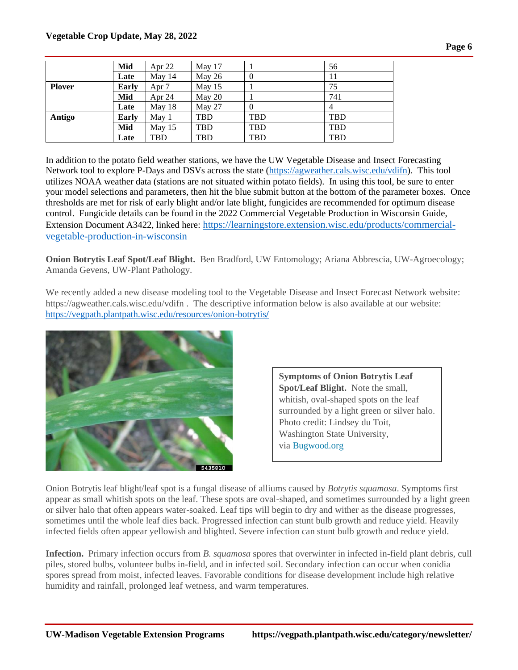|               | Mid          | Apr $22$         | May 17   |            | 56         |
|---------------|--------------|------------------|----------|------------|------------|
|               | Late         | May 14           | May 26   | $\theta$   | 11         |
| <b>Plover</b> | Early        | Apr <sub>7</sub> | May $15$ |            | 75         |
|               | Mid          | Apr $24$         | May 20   |            | 741        |
|               | Late         | May 18           | May 27   | $\theta$   |            |
| Antigo        | <b>Early</b> | May 1            | TBD      | TBD        | <b>TBD</b> |
|               | Mid          | May $15$         | TBD      | <b>TBD</b> | <b>TBD</b> |
|               | Late         | TBD              | TBD      | TBD        | <b>TBD</b> |

In addition to the potato field weather stations, we have the UW Vegetable Disease and Insect Forecasting Network tool to explore P-Days and DSVs across the state [\(https://agweather.cals.wisc.edu/vdifn\)](https://agweather.cals.wisc.edu/vdifn). This tool utilizes NOAA weather data (stations are not situated within potato fields). In using this tool, be sure to enter your model selections and parameters, then hit the blue submit button at the bottom of the parameter boxes. Once thresholds are met for risk of early blight and/or late blight, fungicides are recommended for optimum disease control. Fungicide details can be found in the 2022 Commercial Vegetable Production in Wisconsin Guide, Extension Document A3422, linked here: [https://learningstore.extension.wisc.edu/products/commercial](https://learningstore.extension.wisc.edu/products/commercial-vegetable-production-in-wisconsin)[vegetable-production-in-wisconsin](https://learningstore.extension.wisc.edu/products/commercial-vegetable-production-in-wisconsin)

**Onion Botrytis Leaf Spot/Leaf Blight.** Ben Bradford, UW Entomology; Ariana Abbrescia, UW-Agroecology; Amanda Gevens, UW-Plant Pathology.

We recently added a new disease modeling tool to the Vegetable Disease and Insect Forecast Network website: https://agweather.cals.wisc.edu/vdifn . The descriptive information below is also available at our website: [https://vegpath.plantpath.wisc.edu/resources/onion-botrytis](https://vegpath.plantpath.wisc.edu/resources/onion-botrytis/)**/**



**Symptoms of Onion Botrytis Leaf Spot/Leaf Blight.** Note the small, whitish, oval-shaped spots on the leaf surrounded by a light green or silver halo. Photo credit: Lindsey du Toit, Washington State University, via [Bugwood.org](https://bugwood.org/)

Onion Botrytis leaf blight/leaf spot is a fungal disease of alliums caused by *Botrytis squamosa*. Symptoms first appear as small whitish spots on the leaf. These spots are oval-shaped, and sometimes surrounded by a light green or silver halo that often appears water-soaked. Leaf tips will begin to dry and wither as the disease progresses, sometimes until the whole leaf dies back. Progressed infection can stunt bulb growth and reduce yield. Heavily infected fields often appear yellowish and blighted. Severe infection can stunt bulb growth and reduce yield.

**Infection.** Primary infection occurs from *B. squamosa* spores that overwinter in infected in-field plant debris, cull piles, stored bulbs, volunteer bulbs in-field, and in infected soil. Secondary infection can occur when conidia spores spread from moist, infected leaves. Favorable conditions for disease development include high relative humidity and rainfall, prolonged leaf wetness, and warm temperatures.